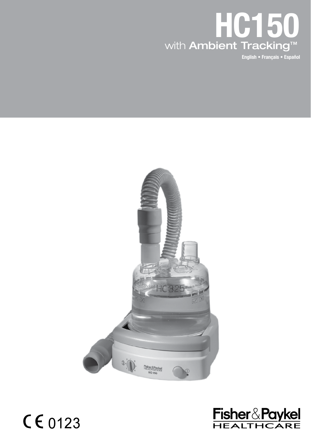

English • Français • Español





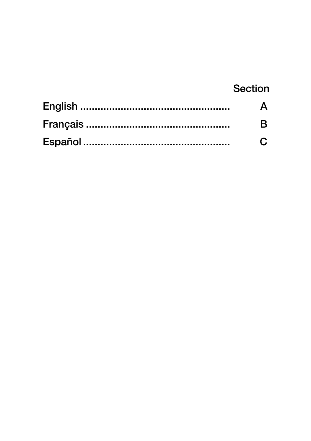# Section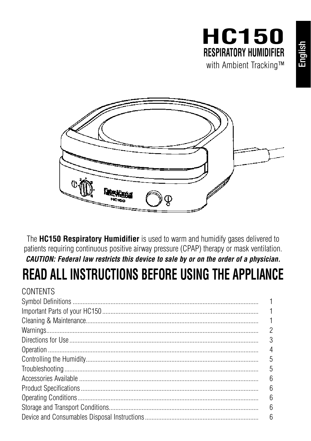



The HC150 Respiratory Humidifier is used to warm and humidify gases delivered to patients requiring continuous positive airway pressure (CPAP) therapy or mask ventilation. CAUTION: Federal law restricts this device to sale by or on the order of a physician.

# READ ALL INSTRUCTIONS BEFORE USING THE APPLIANCE

 $OMITINTO$ 

| <b>UUNTENTS</b> |                |
|-----------------|----------------|
|                 |                |
|                 |                |
|                 | $\overline{1}$ |
|                 | 2              |
|                 | 3              |
|                 | 4              |
|                 | 5              |
|                 | 5              |
|                 | 6              |
|                 | 6              |
|                 | 6              |
|                 | 6              |
|                 | 6              |
|                 |                |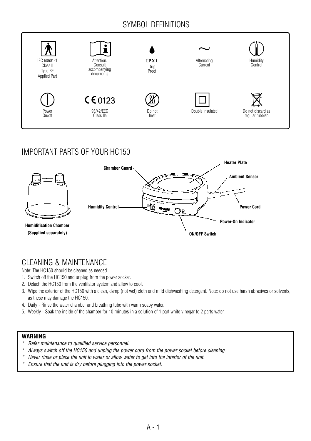# SYMBOL DEFINITIONS



# IMPORTANT PARTS OF YOUR HC150



# CLEANING & MAINTENANCE

Note: The HC150 should be cleaned as needed.

- 1. Switch off the HC150 and unplug from the power socket.
- 2. Detach the HC150 from the ventilator system and allow to cool.
- 3. Wipe the exterior of the HC150 with a clean, damp (not wet) cloth and mild dishwashing detergent. Note: do not use harsh abrasives or solvents, as these may damage the HC150.
- 4. Daily Rinse the water chamber and breathing tube with warm soapy water.
- 5. Weekly Soak the inside of the chamber for 10 minutes in a solution of 1 part white vinegar to 2 parts water.

### **WARNING**

- *\* Refer maintenance to qualified service personnel.*
- *\* Always switch off the HC150 and unplug the power cord from the power socket before cleaning.*
- *\* Never rinse or place the unit in water or allow water to get into the interior of the unit.*
- *\* Ensure that the unit is dry before plugging into the power socket.*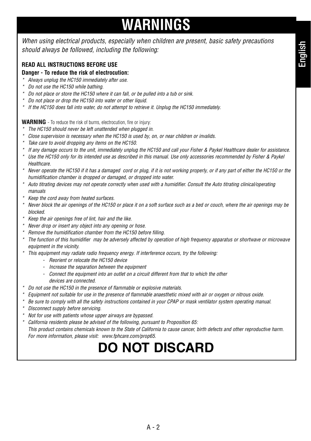# **WARNINGS**

*When using electrical products, especially when children are present, basic safety precautions should always be followed, including the following:*

### **READ ALL INSTRUCTIONS BEFORE USE**

### **Danger - To reduce the risk of electrocution:**

- *\* Always unplug the HC150 immediately after use.*
- *\* Do not use the HC150 while bathing.*
- *\* Do not place or store the HC150 where it can fall, or be pulled into a tub or sink.*
- *\* Do not place or drop the HC150 into water or other liquid.*
- *\* If the HC150 does fall into water, do not attempt to retrieve it. Unplug the HC150 immediately.*

**WARNING** - To reduce the risk of burns, electrocution, fire or injury:

- *\* The HC150 should never be left unattended when plugged in.*
- *\* Close supervision is necessary when the HC150 is used by, on, or near children or invalids.*
- *\* Take care to avoid dropping any items on the HC150.*
- *\* If any damage occurs to the unit, immediately unplug the HC150 and call your Fisher & Paykel Healthcare dealer for assistance.*
- *\* Use the HC150 only for its intended use as described in this manual. Use only accessories recommended by Fisher & Paykel Healthcare.*
- *\* Never operate the HC150 if it has a damaged cord or plug, if it is not working properly, or if any part of either the HC150 or the humidification chamber is dropped or damaged, or dropped into water.*
- *\* Auto titrating devices may not operate correctly when used with a humidifier. Consult the Auto titrating clinical/operating manuals*
- *\* Keep the cord away from heated surfaces.*
- *\* Never block the air openings of the HC150 or place it on a soft surface such as a bed or couch, where the air openings may be blocked.*
- *\* Keep the air openings free of lint, hair and the like.*
- *\* Never drop or insert any object into any opening or hose.*
- *\* Remove the humidification chamber from the HC150 before filling.*
- *\* The function of this humidifier may be adversely affected by operation of high frequency apparatus or shortwave or microwave equipment in the vicinity.*
- *\* This equipment may radiate radio frequency energy. If interference occurs, try the following:*
	- *Reorient or relocate the HC150 device*
	- *Increase the separation between the equipment*
	- *Connect the equipment into an outlet on a circuit different from that to which the other devices are connected.*
- *\* Do not use the HC150 in the presence of flammable or explosive materials.*
- *\* Equipment not suitable for use in the presence of flammable anaesthetic mixed with air or oxygen or nitrous oxide.*
- *\* Be sure to comply with all the safety instructions contained in your CPAP or mask ventilator system operating manual.*
- *\* Disconnect supply before servicing.*
- *\* Not for use with patients whose upper airways are bypassed.*
- *\* California residents please be advised of the following, pursuant to Proposition 65: This product contains chemicals known to the State of California to cause cancer, birth defects and other reproductive harm. For more information, please visit: www.fphcare.com/prop65.*

# **DO NOT DISCARD**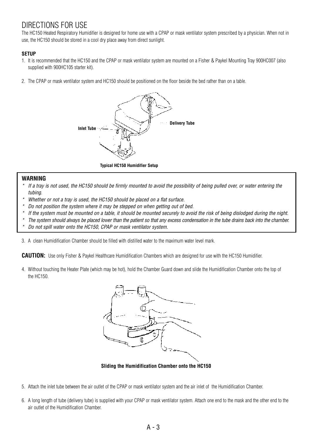# DIRECTIONS FOR USE

The HC150 Heated Respiratory Humidifier is designed for home use with a CPAP or mask ventilator system prescribed by a physician. When not in use, the HC150 should be stored in a cool dry place away from direct sunlight.

### **SETUP**

- 1. It is recommended that the HC150 and the CPAP or mask ventilator system are mounted on a Fisher & Paykel Mounting Tray 900HC007 (also supplied with 900HC105 starter kit).
- 2. The CPAP or mask ventilator system and HC150 should be positioned on the floor beside the bed rather than on a table.



**Typical HC150 Humidifier Setup**

### **WARNING**

- *\* If a tray is not used, the HC150 should be firmly mounted to avoid the possibility of being pulled over, or water entering the tubing.*
- *Whether or not a tray is used, the HC150 should be placed on a flat surface.*
- *\* Do not position the system where it may be stepped on when getting out of bed.*
- *\* If the system must be mounted on a table, it should be mounted securely to avoid the risk of being dislodged during the night.*
- *\* The system should always be placed lower than the patient so that any excess condensation in the tube drains back into the chamber.*
- *\* Do not spill water onto the HC150, CPAP or mask ventilator system.*

3. A clean Humidification Chamber should be filled with distilled water to the maximum water level mark.

**CAUTION:** Use only Fisher & Paykel Healthcare Humidification Chambers which are designed for use with the HC150 Humidifier.

4. Without touching the Heater Plate (which may be hot), hold the Chamber Guard down and slide the Humidification Chamber onto the top of the HC150.



**Sliding the Humidification Chamber onto the HC150**

- 5. Attach the inlet tube between the air outlet of the CPAP or mask ventilator system and the air inlet of the Humidification Chamber.
- 6. A long length of tube (delivery tube) is supplied with your CPAP or mask ventilator system. Attach one end to the mask and the other end to the air outlet of the Humidification Chamber.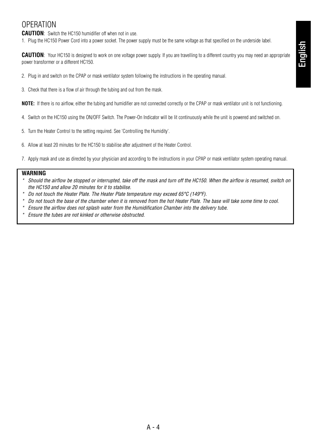## OPERATION

**CAUTION**: Switch the HC150 humidifier off when not in use.

1. Plug the HC150 Power Cord into a power socket. The power supply must be the same voltage as that specified on the underside label.

**CAUTION**: Your HC150 is designed to work on one voltage power supply. If you are travelling to a different country you may need an appropriate power transformer or a different HC150.

- 2. Plug in and switch on the CPAP or mask ventilator system following the instructions in the operating manual.
- 3. Check that there is a flow of air through the tubing and out from the mask.

**NOTE:** If there is no airflow, either the tubing and humidifier are not connected correctly or the CPAP or mask ventilator unit is not functioning.

- 4. Switch on the HC150 using the ON/OFF Switch. The Power-On Indicator will be lit continuously while the unit is powered and switched on.
- 5. Turn the Heater Control to the setting required. See 'Controlling the Humidity'.
- 6. Allow at least 20 minutes for the HC150 to stabilise after adjustment of the Heater Control.
- 7. Apply mask and use as directed by your physician and according to the instructions in your CPAP or mask ventilator system operating manual.

### **WARNING**

- *\* Should the airflow be stopped or interrupted, take off the mask and turn off the HC150. When the airflow is resumed, switch on the HC150 and allow 20 minutes for it to stabilise.*
- *\* Do not touch the Heater Plate. The Heater Plate temperature may exceed 65°C (149°F).*
- *\* Do not touch the base of the chamber when it is removed from the hot Heater Plate. The base will take some time to cool.*
- *\* Ensure the airflow does not splash water from the Humidification Chamber into the delivery tube.*
- *\* Ensure the tubes are not kinked or otherwise obstructed.*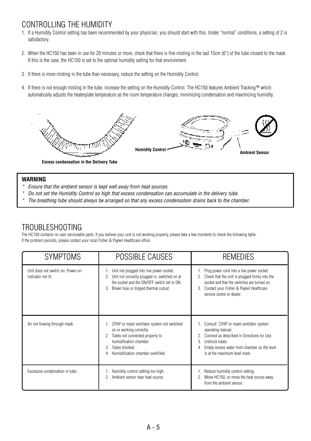## CONTROLLING THE HUMIDITY

- 1. If a Humidity Control setting has been recommended by your physician, you should start with this. Under "normal" conditions, a setting of 2 is satisfactory.
- 2. When the HC150 has been in use for 20 minutes or more, check that there is fine misting in the last 15cm (6") of the tube closest to the mask. If this is the case, the HC150 is set to the optimal humidity setting for that environment.
- 3. If there is more misting in the tube than necessary, reduce the setting on the Humidity Control.
- 4. If there is not enough misting in the tube, increase the setting on the Humidity Control. The HC150 features Ambient Tracking™ which automatically adjusts the heaterplate temperature as the room temperature changes, minimizing condensation and maximizing humidity.



**Excess condensation in the Delivery Tube**

### **WARNING**

- *\* Ensure that the ambient sensor is kept well away from heat sources.*
- *\* Do not set the Humidity Control so high that excess condensation can accumulate in the delivery tube.*
- *\* The breathing tube should always be arranged so that any excess condensation drains back to the chamber.*

### TROUBLESHOOTING

The HC150 contains no user serviceable parts. If you believe your unit is not working properly, please take a few moments to check the following table. If the problem persists, please contact your local Fisher & Paykel Healthcare office.

| <b>SYMPTOMS</b>                                         | POSSIBLE CAUSES                                                                                                                                                                                                   | REMEDIES                                                                                                                                                                                                                    |
|---------------------------------------------------------|-------------------------------------------------------------------------------------------------------------------------------------------------------------------------------------------------------------------|-----------------------------------------------------------------------------------------------------------------------------------------------------------------------------------------------------------------------------|
| Unit does not switch on: Power-on<br>indicator not lit. | 1. Unit not plugged into live power socket.<br>Unit not correctly plugged in, switched on at<br>2.<br>the socket and the ON/OFF switch set to ON.<br>Blown fuse or tripped thermal cutout.<br>3.                  | 1. Plug power cord into a live power socket.<br>2. Check that the unit is plugged firmly into the<br>socket and that the switches are turned on.<br>3. Contact your Fisher & Paykel Healthcare<br>service centre or dealer. |
| Air not flowing through mask.                           | 1. CPAP or mask ventilator system not switched<br>on or working correctly.<br>Tubes not connected properly to<br>2.<br>humidification chamber.<br>Tubes blocked.<br>3.<br>Humidification chamber overfilled.<br>4 | 1. Consult CPAP or mask ventilator system<br>operating manual.<br>Connect as described in Directions for Use.<br>3.<br>Unblock tubes.<br>Empty excess water from chamber so the level<br>4.<br>is at the maximum level mark |
| Excessive condensation in tube.                         | Humidity control setting too high.<br>Ambient sensor near heat source.                                                                                                                                            | 1. Reduce humidity control setting.<br>Move HC150, or move the heat source away<br>from the ambient sensor.                                                                                                                 |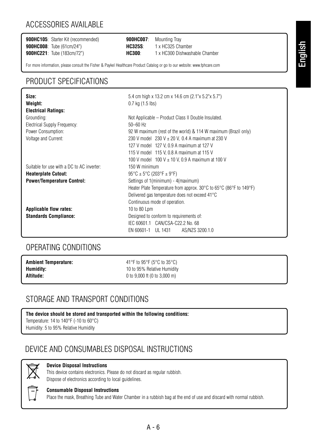# ACCESSORIES AVAILABLE

**900HC105**: Starter Kit (recommended) **900HC007**: Mounting Tray **900HC008**: Tube (61cm/24")

**900HC221**: Tube (183cm/72") **HC300**: 1 x HC300 Dishwashable Chamber

For more information, please consult the Fisher & Paykel Healthcare Product Catalog or go to our website: www.fphcare.com

## PRODUCT SPECIFICATIONS

| Size:<br>Weight:                                                                                              | 5.4 cm high x 13.2 cm x 14.6 cm (2.1"x 5.2"x 5.7")<br>$0.7$ kg $(1.5$ lbs)                                                                                                                                                                                                                     |
|---------------------------------------------------------------------------------------------------------------|------------------------------------------------------------------------------------------------------------------------------------------------------------------------------------------------------------------------------------------------------------------------------------------------|
| <b>Electrical Ratings:</b><br>Grounding:<br>Electrical Supply Frequency:<br>Power Consumption:                | Not Applicable - Product Class II Double Insulated.<br>$50 - 60$ Hz<br>92 W maximum (rest of the world) & 114 W maximum (Brazil only)                                                                                                                                                          |
| Voltage and Current:                                                                                          | 230 V model 230 V $\pm$ 20 V, 0.4 A maximum at 230 V<br>127 V model 127 V, 0.9 A maximum at 127 V<br>115 V model 115 V, 0.8 A maximum at 115 V<br>100 V model 100 V $\pm$ 10 V, 0.9 A maximum at 100 V                                                                                         |
| Suitable for use with a DC to AC inverter:<br><b>Heaterplate Cutout:</b><br><b>Power/Temperature Control:</b> | 150 W minimum<br>$95^{\circ}$ C ± 5°C (203°F ± 9°F)<br>Settings of 1(minimum) - 4(maximum)<br>Heater Plate Temperature from approx. $30^{\circ}$ C to 65 $^{\circ}$ C (86 $^{\circ}$ F to 149 $^{\circ}$ F)<br>Delivered gas temperature does not exceed 41°C<br>Continuous mode of operation. |
| <b>Applicable flow rates:</b><br><b>Standards Compliance:</b>                                                 | 10 to 80 Lpm<br>Designed to conform to requirements of:<br>IEC 60601.1 CAN/CSA-C22.2 No. 68<br>EN 60601-1 UL 1431<br>AS/NZS 3200.1.0                                                                                                                                                           |

## OPERATING CONDITIONS

| <b>Ambient Temperature:</b> | 41°F to 95°F (5°C to 35°C)   |
|-----------------------------|------------------------------|
| Humidity:                   | 10 to 95% Relative Humidity  |
| Altitude:                   | 0 to 9,000 ft (0 to 3,000 m) |

# STORAGE AND TRANSPORT CONDITIONS

**The device should be stored and transported within the following conditions:**  Temperature: 14 to 140°F (-10 to 60°C)

Humidity: 5 to 95% Relative Humidity

## DEVICE AND CONSUMABLES DISPOSAL INSTRUCTIONS



### **Device Disposal Instructions**

This device contains electronics. Please do not discard as regular rubbish. Dispose of electronics according to local guidelines.



### **Consumable Disposal Instructions**

Place the mask, Breathing Tube and Water Chamber in a rubbish bag at the end of use and discard with normal rubbish.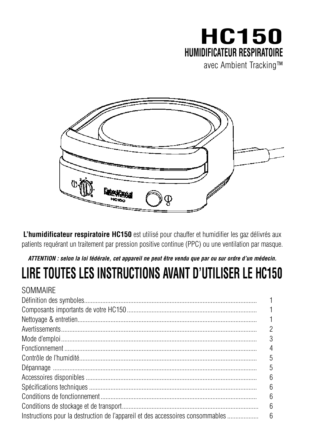# **HC150 HUMIDIFICATEUR RESPIRATOIRE** avec Ambient Tracking™

**L'humidificateur respiratoire HC150** est utilisé pour chauffer et humidifier les gaz délivrés aux patients requérant un traitement par pression positive continue (PPC) ou une ventilation par masque.

# *ATTENTION : selon la loi fédérale, cet appareil ne peut être vendu que par ou sur ordre d'un médecin.*

# **LIRE TOUTES LES INSTRUCTIONS AVANT D'UTILISER LE HC150**

## **SOMMAIRE** Définition des symboles......................................................................................................... 1 Composants importants de votre HC150 ............................................................................... 1 Nettoyage & entretien............................................................................................................. 1 Avertissements....................................................................................................................... 2 Mode d'emploi....................................................................................................................... 3 Fonctionnement ..................................................................................................................... 4 Contrôle de l'humidité Dépannage ............................................................................................................................ 5 Accessoires disponibles........................................................................................................ 6 Spécifications techniques...................................................................................................... 6 Conditions de fonctionnement ............................................................................................... 6 Conditions de stockage et de transport................................................................................... 6 Instructions pour la destruction de l'appareil et des accessoires consommables................................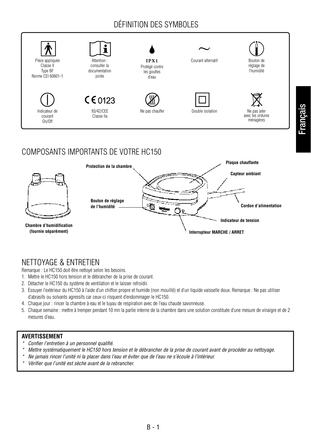# DÉFINITION DES SYMBOLES



# COMPOSANTS IMPORTANTS DE VOTRE HC150



# NETTOYAGE & ENTRETIEN

Remarque : Le HC150 doit être nettoyé selon les besoins.

- 1. Mettre le HC150 hors tension et le débrancher de la prise de courant.
- 2. Détacher le HC150 du système de ventilation et le laisser refroidir.
- 3. Essuyer l'extérieur du HC150 à l'aide d'un chiffon propre et humide (non mouillé) et d'un liquide vaisselle doux. Remarque : Ne pas utiliser d'abrasifs ou solvants agressifs car ceux-ci risquent d'endommager le HC150.
- 4. Chaque jour : rincer la chambre à eau et le tuyau de respiration avec de l'eau chaude savonneuse.
- 5. Chaque semaine : mettre à tremper pendant 10 mn la partie interne de la chambre dans une solution constituée d'une mesure de vinaigre et de 2 mesures d'eau.

### **AVERTISSEMENT**

- *\* Confier l'entretien à un personnel qualifié.*
- *\* Mettre systématiquement le HC150 hors tension et le débrancher de la prise de courant avant de procéder au nettoyage.*

B - 1

- *\* Ne jamais rincer l'unité ni la placer dans l'eau et éviter que de l'eau ne s'écoule à l'intérieur.*
- *\* Vérifier que l'unité est sèche avant de la rebrancher.*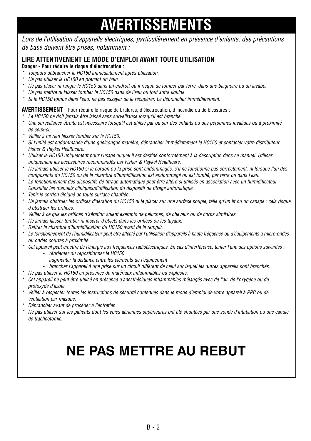# **AVERTISSEMENTS**

*Lors de l'utilisation d'appareils électriques, particulièrement en présence d'enfants, des précautions de base doivent être prises, notamment :*

### **LIRE ATTENTIVEMENT LE MODE D'EMPLOI AVANT TOUTE UTILISATION**

### **Danger - Pour réduire le risque d'électrocution :**

- *\* Toujours débrancher le HC150 immédiatement après utilisation.*
- *\* Ne pas utiliser le HC150 en prenant un bain.*
- *\* Ne pas placer ni ranger le HC150 dans un endroit où il risque de tomber par terre, dans une baignoire ou un lavabo.*
- *\* Ne pas mettre ni laisser tomber le HC150 dans de l'eau ou tout autre liquide.*
- *\* Si le HC150 tombe dans l'eau, ne pas essayer de le récupérer. Le débrancher immédiatement.*

**AVERTISSEMENT** - Pour réduire le risque de brûlures, d'électrocution, d'incendie ou de blessures :

- *\* Le HC150 ne doit jamais être laissé sans surveillance lorsqu'il est branché.*
- *\* Une surveillance étroite est nécessaire lorsqu'il est utilisé par ou sur des enfants ou des personnes invalides ou à proximité de ceux-ci.*
- *\* Veiller à ne rien laisser tomber sur le HC150.*
- *\* Si l'unité est endommagée d'une quelconque manière, débrancher immédiatement le HC150 et contacter votre distributeur Fisher & Paykel Healthcare.*
- *\* Utiliser le HC150 uniquement pour l'usage auquel il est destiné conformément à la description dans ce manuel. Utiliser uniquement les accessoires recommandés par Fisher & Paykel Healthcare.*
- *\* Ne jamais utiliser le HC150 si le cordon ou la prise sont endommagés, s'il ne fonctionne pas correctement, ni lorsque l'un des composants du HC150 ou de la chambre d'humidification est endommagé ou est tombé, par terre ou dans l'eau.*
- *\* Le fonctionnement des dispositifs de titrage automatique peut être altéré si utilisés en association avec un humidificateur. Consulter les manuels cliniques/d'utilisation du dispositif de titrage automatique.*
- *\* Tenir le cordon éloigné de toute surface chauffée.*
- *\* Ne jamais obstruer les orifices d'aération du HC150 ni le placer sur une surface souple, telle qu'un lit ou un canapé : cela risque d'obstruer les orifices.*
- *\* Veiller à ce que les orifices d'aération soient exempts de peluches, de cheveux ou de corps similaires.*
- *\* Ne jamais laisser tomber ni insérer d'objets dans les orifices ou les tuyaux.*
- *\* Retirer la chambre d'humidification du HC150 avant de la remplir.*
- *\* Le fonctionnement de l'humidificateur peut être affecté par l'utilisation d'appareils à haute fréquence ou d'équipements à micro-ondes ou ondes courtes à proximité.*
- *\* Cet appareil peut émettre de l'énergie aux fréquences radioélectriques. En cas d'interférence, tenter l'une des options suivantes :*
	- *réorienter ou repositionner le HC150*
	- *augmenter la distance entre les éléments de l'équipement*
	- *brancher l'appareil à une prise sur un circuit différent de celui sur lequel les autres appareils sont branchés.*
- *\* Ne pas utiliser le HC150 en présence de matériaux inflammables ou explosifs.*
- *\* Cet appareil ne peut être utilisé en présence d'anesthésiques inflammables mélangés avec de l'air, de l'oxygène ou du protoxyde d'azote.*
- *\* Veiller à respecter toutes les instructions de sécurité contenues dans le mode d'emploi de votre appareil à PPC ou de ventilation par masque.*
- *\* Débrancher avant de procéder à l'entretien.*
- *\* Ne pas utiliser sur les patients dont les voies aériennes supérieures ont été shuntées par une sonde d'intubation ou une canule de trachéotomie.*

# **NE PAS METTRE AU REBUT**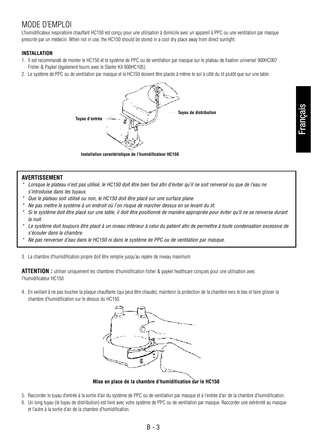# MODE D'EMPLOI

L'humidificateur respiratoire chauffant HC150 est conçu pour une utilisation à domicile avec un appareil à PPC ou une ventilation par masque prescrite par un médecin. When not in use, the HC150 should be stored in a cool dry place away from direct sunlight.

### **INSTALLATION**

- 1. Il est recommandé de monter le HC150 et le système de PPC ou de ventilation par masque sur le plateau de fixation universel 900HC007 Fisher & Paykel (également fourni avec le Starter Kit 900HC105).
- 2. Le système de PPC ou de ventilation par masque et le HC150 doivent être placés à même le sol à côté du lit plutôt que sur une table.



**Installation caractéristique de l'humidificateur HC150**

### **AVERTISSEMENT**

- *\* Lorsque le plateau n'est pas utilisé, le HC150 doit être bien fixé afin d'éviter qu'il ne soit renversé ou que de l'eau ne s'introduise dans les tuyaux.*
- *\* Que le plateau soit utilisé ou non, le HC150 doit être placé sur une surface plane.*
- *\* Ne pas mettre le système à un endroit où l'on risque de marcher dessus en se levant du lit.*
- *\* Si le système doit être placé sur une table, il doit être positionné de manière appropriée pour éviter qu'il ne se renverse durant la nuit.*
- *\* Le système doit toujours être placé à un niveau inférieur à celui du patient afin de permettre à toute condensation excessive de s'écouler dans la chambre.*
- *\* Ne pas renverser d'eau dans le HC150 ni dans le système de PPC ou de ventilation par masque.*
- 3. La chambre d'humidification propre doit être remplie jusqu'au repère de niveau maximum.

**ATTENTION :** utiliser uniquement les chambres d'humidification fisher & paykel healthcare conçues pour une utilisation avec l'humidificateur HC150.

4. En veillant à ne pas toucher la plaque chauffante (qui peut être chaude), maintenir la protection de la chambre vers le bas et faire glisser la chambre d'humidification sur le dessus du HC150.



**Mise en place de la chambre d'humidification sur le HC150** 

- 5. Raccorder le tuyau d'entrée à la sortie d'air du système de PPC ou de ventilation par masque et à l'entrée d'air de la chambre d'humidification.
- 6. Un long tuyau (le tuyau de distribution) est livré avec votre système de PPC ou de ventilation par masque. Raccorder une extrémité au masque et l'autre à la sortie d'air de la chambre d'humidification.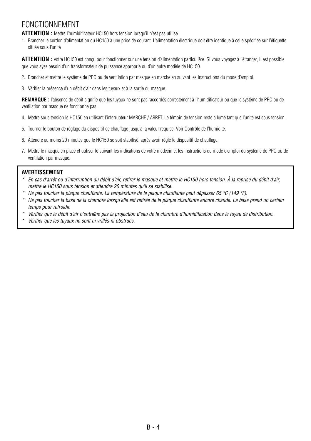# FONCTIONNEMENT

**ATTENTION :** Mettre l'humidificateur HC150 hors tension lorsqu'il n'est pas utilisé.

1. Brancher le cordon d'alimentation du HC150 à une prise de courant. L'alimentation électrique doit être identique à celle spécifiée sur l'étiquette située sous l'unité

**ATTENTION :** votre HC150 est conçu pour fonctionner sur une tension d'alimentation particulière. Si vous voyagez à l'étranger, il est possible que vous ayez besoin d'un transformateur de puissance approprié ou d'un autre modèle de HC150.

- 2. Brancher et mettre le système de PPC ou de ventilation par masque en marche en suivant les instructions du mode d'emploi.
- 3. Vérifier la présence d'un débit d'air dans les tuyaux et à la sortie du masque.

**REMARQUE :** l'absence de débit signifie que les tuyaux ne sont pas raccordés correctement à l'humidificateur ou que le système de PPC ou de ventilation par masque ne fonctionne pas.

- 4. Mettre sous tension le HC150 en utilisant l'interrupteur MARCHE / ARRET. Le témoin de tension reste allumé tant que l'unité est sous tension.
- 5. Tourner le bouton de réglage du dispositif de chauffage jusqu'à la valeur requise. Voir Contrôle de l'humidité.
- 6. Attendre au moins 20 minutes que le HC150 se soit stabilisé, après avoir réglé le dispositif de chauffage.
- 7. Mettre le masque en place et utiliser le suivant les indications de votre médecin et les instructions du mode d'emploi du système de PPC ou de ventilation par masque.

### **AVERTISSEMENT**

- *\* En cas d'arrêt ou d'interruption du débit d'air, retirer le masque et mettre le HC150 hors tension. À la reprise du débit d'air, mettre le HC150 sous tension et attendre 20 minutes qu'il se stabilise.*
- *\* Ne pas toucher la plaque chauffante. La température de la plaque chauffante peut dépasser 65 °C (149 °F).*
- *\* Ne pas toucher la base de la chambre lorsqu'elle est retirée de la plaque chauffante encore chaude. La base prend un certain temps pour refroidir.*
- *\* Vérifier que le débit d'air n'entraîne pas la projection d'eau de la chambre d'humidification dans le tuyau de distribution.*
- *\* Vérifier que les tuyaux ne sont ni vrillés ni obstrués.*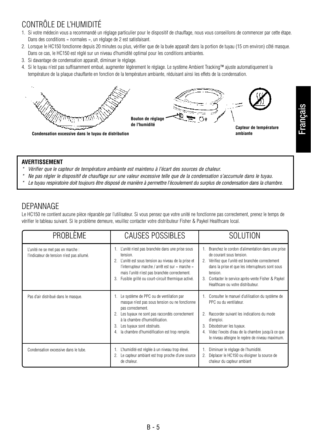# CONTRÔLE DE L'HUMIDITÉ

- 1. Si votre médecin vous a recommandé un réglage particulier pour le dispositif de chauffage, nous vous conseillons de commencer par cette étape. Dans des conditions « normales », un réglage de 2 est satisfaisant.
- 2. Lorsque le HC150 fonctionne depuis 20 minutes ou plus, vérifier que de la buée apparaît dans la portion de tuyau (15 cm environ) côté masque. Dans ce cas, le HC150 est réglé sur un niveau d'humidité optimal pour les conditions ambiantes.
- 3. Si davantage de condensation apparaît, diminuer le réglage.
- 4. Si le tuyau n'est pas suffisamment embué, augmenter légèrement le réglage. Le système Ambient Tracking™ ajuste automatiquement la température de la plaque chauffante en fonction de la température ambiante, réduisant ainsi les effets de la condensation.



### **AVERTISSEMENT**

- *\* Vérifier que le capteur de température ambiante est maintenu à l'écart des sources de chaleur.*
- *\* Ne pas régler le dispositif de chauffage sur une valeur excessive telle que de la condensation s'accumule dans le tuyau.*
- *\* Le tuyau respiratoire doit toujours être disposé de manière à permettre l'écoulement du surplus de condensation dans la chambre.*

### DEPANNAGE

Le HC150 ne contient aucune pièce réparable par l'utilisateur. Si vous pensez que votre unité ne fonctionne pas correctement, prenez le temps de vérifier le tableau suivant. Si le problème demeure, veuillez contacter votre distributeur Fisher & Paykel Healthcare local.

| PROBLÈME                                                                       | <b>CAUSES POSSIBLES</b>                                                                                                                                                                                                                                                                           | <b>SOLUTION</b>                                                                                                                                                                                                                                                                                     |
|--------------------------------------------------------------------------------|---------------------------------------------------------------------------------------------------------------------------------------------------------------------------------------------------------------------------------------------------------------------------------------------------|-----------------------------------------------------------------------------------------------------------------------------------------------------------------------------------------------------------------------------------------------------------------------------------------------------|
| L'unité ne se met pas en marche :<br>l'indicateur de tension n'est pas allumé. | L'unité n'est pas branchée dans une prise sous<br>1.<br>tension.<br>2. L'unité est sous tension au niveau de la prise et<br>l'interrupteur marche / arrêt est sur « marche »<br>mais l'unité n'est pas branchée correctement.<br>Fusible grillé ou court-circuit thermique activé.<br>3.          | Branchez le cordon d'alimentation dans une prise<br>de courant sous tension.<br>Vérifiez que l'unité est branchée correctement<br>2.<br>dans la prise et que les interrupteurs sont sous<br>tension.<br>Contacter le service après-vente Fisher & Paykel<br>3.<br>Healthcare ou votre distributeur. |
| Pas d'air distribué dans le masque.                                            | Le système de PPC ou de ventilation par<br>1.<br>masque n'est pas sous tension ou ne fonctionne<br>pas correctement.<br>Les tuyaux ne sont pas raccordés correctement<br>2.<br>à la chambre d'humidification.<br>Les tuyaux sont obstrués.<br>3.<br>la chambre d'humidification est trop remplie. | Consulter le manuel d'utilisation du système de<br>PPC ou du ventilateur.<br>Raccorder suivant les indications du mode<br>$\mathfrak{D}$<br>d'emploi.<br>Désobstruer les tuyaux.<br>3.<br>Videz l'excès d'eau de la chambre jusqu'à ce que<br>le niveau atteigne le repère de niveau maximum.       |
| Condensation excessive dans le tube.                                           | L'humidité est réglée à un niveau trop élevé.<br>Le capteur ambiant est trop proche d'une source<br>de chaleur.                                                                                                                                                                                   | Diminuer le réglage de l'humidité.<br>Déplacer le HC150 ou éloigner la source de<br>chaleur du capteur ambiant                                                                                                                                                                                      |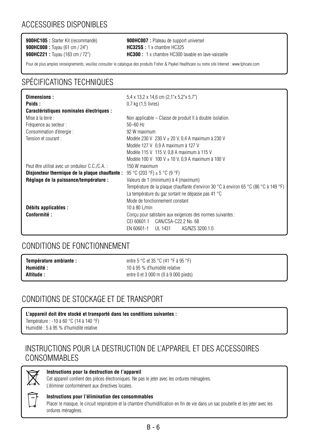**900HC008 :** Tuyau (61 cm / 24") **HC325S :** 1 x chambre HC325

**900HC105 :** Starter Kit (recommandé) **900HC007 :** Plateau de support universel **900HC221 :** Tuyau (183 cm / 72") **HC300 :** 1 x chambre HC300 lavable en lave-vaisselle

Pour de plus amples renseignements, veuillez consulter le catalogue des produits Fisher & Paykel Healthcare ou notre site Internet : www.fphcare.com

# SPÉCIFICATIONS TECHNIQUES

| Dimensions:                                     | $5.4 \times 13.2 \times 14.6$ cm $(2.1" \times 5.2" \times 5.7")$                    |  |
|-------------------------------------------------|--------------------------------------------------------------------------------------|--|
| Poids:                                          | 0,7 kg (1,5 livres)                                                                  |  |
| Caractéristiques nominales électriques :        |                                                                                      |  |
| Mise à la terre :                               | Non applicable – Classe de produit II à double isolation.                            |  |
| Fréquence au secteur :                          | $50 - 60$ Hz                                                                         |  |
| Consommation d'énergie :                        | 92 W maximum                                                                         |  |
| Tension et courant :                            | Modèle 230 V 230 V $\pm$ 20 V, 0,4 A maximum à 230 V                                 |  |
|                                                 | Modèle 127 V 0,9 A maximum à 127 V                                                   |  |
|                                                 | Modèle 115 V 115 V, 0,8 A maximum à 115 V                                            |  |
|                                                 | Modèle 100 V 100 V $\pm$ 10 V, 0,9 A maximum à 100 V                                 |  |
| Peut être utilisé avec un onduleur C.C./C.A. :  | 150 W maximum                                                                        |  |
| Disjoncteur thermique de la plaque chauffante : | 95 °C (203 °F) $\pm$ 5 °C (9 °F)                                                     |  |
| Réglage de la puissance/température :           | Valeurs de 1 (minimum) à 4 (maximum)                                                 |  |
|                                                 | Température de la plaque chauffante d'environ 30 °C à environ 65 °C (86 °C à 149 °F) |  |
|                                                 | La température du gaz sortant ne dépasse pas 41 °C                                   |  |
|                                                 | Mode de fonctionnement constant                                                      |  |
| Débits applicables :                            | 10 à 80 L/min                                                                        |  |
| Conformité :                                    | Concu pour satisfaire aux exigences des normes suivantes :                           |  |
|                                                 | CEI 60601.1 CAN/CSA-C22.2 No. 68                                                     |  |
|                                                 | EN 60601-1 UL 1431<br>AS/NZS 3200.1.0                                                |  |

### CONDITIONS DE FONCTIONNEMENT

| Température ambiante : | entre 5 °C et 35 °C (41 °F à 95 °F)  |
|------------------------|--------------------------------------|
| Humidité :             | 10 à 95 % d'humidité relative        |
| Altitude :             | entre 0 et 3 000 m (0 à 9 000 pieds) |

# CONDITIONS DE STOCKAGE ET DE TRANSPORT

**L'appareil doit être stocké et transporté dans les conditions suivantes :**  Température : -10 à 60 °C (14 à 140 °F) Humidité : 5 à 95 % d'humidité relative

## INSTRUCTIONS POUR LA DESTRUCTION DE L'APPAREIL ET DES ACCESSOIRES CONSOMMABLES



### **Instructions pour la destruction de l'appareil**

Cet appareil contient des pièces électroniques. Ne pas le jeter avec les ordures ménagères. L'éliminer conformément aux directives locales.



### **Instructions pour l'élimination des consommables**

Placer le masque, le circuit respiratoire et la chambre d'humidification en fin de vie dans un sac poubelle et les jeter avec les ordures ménagères.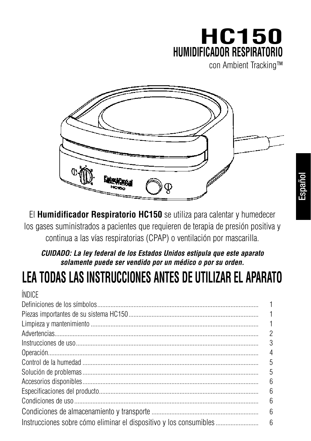# **HC150 HUMIDIFICADOR RESPIRATORIO**

con Ambient Tracking™



El **Humidificador Respiratorio HC150** se utiliza para calentar y humedecer los gases suministrados a pacientes que requieren de terapia de presión positiva y continua a las vías respiratorias (CPAP) o ventilación por mascarilla.

# *CUIDADO: La ley federal de los Estados Unidos estipula que este aparato solamente puede ser vendido por un médico o por su orden.*

# **LEA TODAS LAS INSTRUCCIONES ANTES DE UTILIZAR EL APARATO**

| <b>INDICF</b>                                                      |    |
|--------------------------------------------------------------------|----|
|                                                                    |    |
|                                                                    |    |
|                                                                    | 1  |
|                                                                    | 2  |
|                                                                    | 3  |
|                                                                    | 4  |
|                                                                    | 5  |
|                                                                    | 5  |
|                                                                    | 6  |
|                                                                    | -6 |
|                                                                    | 6  |
|                                                                    | 6  |
| Instrucciones sobre cómo eliminar el dispositivo y los consumibles | 6  |
|                                                                    |    |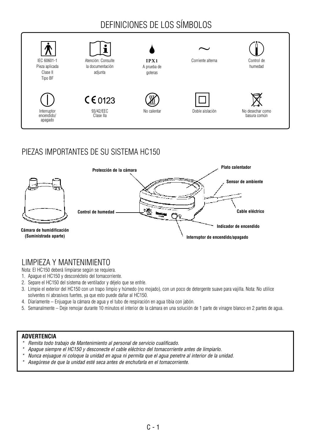# DEFINICIONES DE LOS SÍMBOLOS



# PIEZAS IMPORTANTES DE SU SISTEMA HC150



## LIMPIEZA Y MANTENIMIENTO

Nota: El HC150 deberá limpiarse según se requiera.

- 1. Apague el HC150 y desconéctelo del tomacorriente.
- 2. Separe el HC150 del sistema de ventilador y déjelo que se enfríe.
- 3. Limpie el exterior del HC150 con un trapo limpio y húmedo (no mojado), con un poco de detergente suave para vajilla. Nota: No utilice solventes ni abrasivos fuertes, ya que esto puede dañar al HC150.
- 4. Diariamente Enjuague la cámara de agua y el tubo de respiración en agua tibia con jabón.
- 5. Semanalmente Deje remojar durante 10 minutos el interior de la cámara en una solución de 1 parte de vinagre blanco en 2 partes de agua.

### **ADVERTENCIA**

- *\* Remita todo trabajo de Mantenimiento al personal de servicio cualificado.*
- *\* Apague siempre el HC150 y desconecte el cable eléctrico del tomacorriente antes de limpiarlo.*
- *\* Nunca enjuague ni coloque la unidad en agua ni permita que el agua penetre al interior de la unidad.*
- *\* Asegúrese de que la unidad esté seca antes de enchufarla en el tomacorriente.*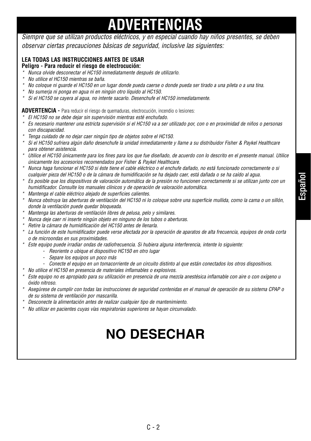# **ADVERTENCIAS**

*Siempre que se utilizan productos eléctricos, y en especial cuando hay niños presentes, se deben observar ciertas precauciones básicas de seguridad, inclusive las siguientes:* 

### **LEA TODAS LAS INSTRUCCIONES ANTES DE USAR**

### **Peligro - Para reducir el riesgo de electrocución:**

- *\* Nunca olvide desconectar el HC150 inmediatamente después de utilizarlo.*
- *\* No utilice el HC150 mientras se baña.*
- *\* No coloque ni guarde el HC150 en un lugar donde pueda caerse o donde pueda ser tirado a una pileta o a una tina.*
- *\* No sumerja ni ponga en agua ni en ningún otro líquido al HC150.*
- *\* Si el HC150 se cayera al agua, no intente sacarlo. Desenchufe el HC150 inmediatamente.*

### **ADVERTENCIA -** Para reducir el riesgo de quemaduras, electrocución, incendio o lesiones:

- *\* El HC150 no se debe dejar sin supervisión mientras esté enchufado.*
- *\* Es necesario mantener una estricta supervisión si el HC150 va a ser utilizado por, con o en proximidad de niños o personas con discapacidad.*
- *\* Tenga cuidado de no dejar caer ningún tipo de objetos sobre el HC150.*
- *\* Si el HC150 sufriera algún daño desenchufe la unidad inmediatamente y llame a su distribuidor Fisher & Paykel Healthcare para obtener asistencia.*
- *\* Utilice el HC150 únicamente para los fines para los que fue diseñado, de acuerdo con lo descrito en el presente manual. Utilice únicamente los accesorios recomendados por Fisher & Paykel Healthcare.*
- *\* Nunca haga funcionar el HC150 si éste tiene el cable eléctrico o el enchufe dañado, no está funcionado correctamente o si cualquier pieza del HC150 o de la cámara de humidificación se ha dejado caer, está dañada o se ha caído al agua.*
- *\* Es posible que los dispositivos de valoración automática de la presión no funcionen correctamente si se utilizan junto con un humidificador. Consulte los manuales clínicos y de operación de valoración automática.*
- *\* Mantenga el cable eléctrico alejado de superficies calientes.*
- *\* Nunca obstruya las aberturas de ventilación del HC150 ni lo coloque sobre una superficie mullida, como la cama o un sillón, donde la ventilación puede quedar bloqueada.*
- *\* Mantenga las aberturas de ventilación libres de pelusa, pelo y similares.*
- *\* Nunca deje caer ni inserte ningún objeto en ninguno de los tubos o aberturas.*
- *\* Retire la cámara de humidificación del HC150 antes de llenarla.*
- *\* La función de este humidificador puede verse afectada por la operación de aparatos de alta frecuencia, equipos de onda corta o de microondas en sus proximidades.*
- *\* Este equipo puede irradiar ondas de radiofrecuencia. Si hubiera alguna interferencia, intente lo siguiente:* 
	- *Reoriente o ubique el dispositivo HC150 en otro lugar*
	- *Separe los equipos un poco más*
	- *Conecte el equipo en un tomacorriente de un circuito distinto al que están conectados los otros dispositivos.*
- *\* No utilice el HC150 en presencia de materiales inflamables o explosivos.*
- *\* Este equipo no es apropiado para su utilización en presencia de una mezcla anestésica inflamable con aire o con oxígeno u óxido nitroso.*
- *\* Asegúrese de cumplir con todas las instrucciones de seguridad contenidas en el manual de operación de su sistema CPAP o de su sistema de ventilación por mascarilla.*
- *\* Desconecte la alimentación antes de realizar cualquier tipo de mantenimiento.*
- *\* No utilizar en pacientes cuyas vías respiratorias superiores se hayan circunvalado.*

# **NO DESECHAR**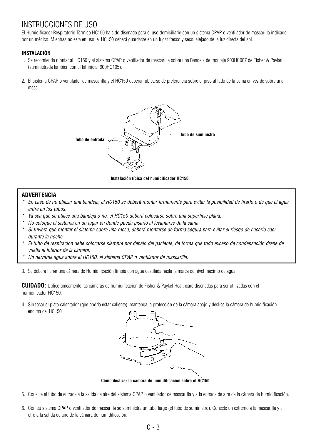## INSTRUCCIONES DE USO

El Humidificador Respiratorio Térmico HC150 ha sido diseñado para el uso domiciliario con un sistema CPAP o ventilador de mascarilla indicado por un médico. Mientras no está en uso, el HC150 deberá guardarse en un lugar fresco y seco, alejado de la luz directa del sol.

### **INSTALACIÓN**

- 1. Se recomienda montar al HC150 y al sistema CPAP o ventilador de mascarilla sobre una Bandeja de montaje 900HC007 de Fisher & Paykel (suministrada también con el kit inicial 900HC105).
- 2. El sistema CPAP o ventilador de mascarilla y el HC150 deberán ubicarse de preferencia sobre el piso al lado de la cama en vez de sobre una mesa.



**Instalación típica del humidificador HC150**

### **ADVERTENCIA**

- *\* En caso de no utilizar una bandeja, el HC150 se deberá montar firmemente para evitar la posibilidad de tirarlo o de que el agua entre en los tubos.*
- *\* Ya sea que se utilice una bandeja o no, el HC150 deberá colocarse sobre una superficie plana.*
- *\* No coloque el sistema en un lugar en donde pueda pisarlo al levantarse de la cama.*
- *\* Si tuviera que montar el sistema sobre una mesa, deberá montarse de forma segura para evitar el riesgo de hacerlo caer durante la noche.*
- *\* El tubo de respiración debe colocarse siempre por debajo del paciente, de forma que todo exceso de condensación drene de vuelta al interior de la cámara.*
- *\* No derrame agua sobre el HC150, el sistema CPAP o ventilador de mascarilla.*

3. Se deberá llenar una cámara de Humidificación limpia con agua destilada hasta la marca de nivel máximo de agua.

**CUIDADO:** Utilice únicamente las cámaras de humidificación de Fisher & Paykel Healthcare diseñadas para ser utilizadas con el humidificador HC150.

4. Sin tocar el plato calentador (que podría estar caliente), mantenga la protección de la cámara abajo y deslice la cámara de humidificación encima del HC150.



**Cómo deslizar la cámara de humidificación sobre el HC150**

- 5. Conecte el tubo de entrada a la salida de aire del sistema CPAP o ventilador de mascarilla y a la entrada de aire de la cámara de humidificación.
- 6. Con su sistema CPAP o ventilador de mascarilla se suministra un tubo largo (el tubo de suministro). Conecte un extremo a la mascarilla y el otro a la salida de aire de la cámara de humidificación.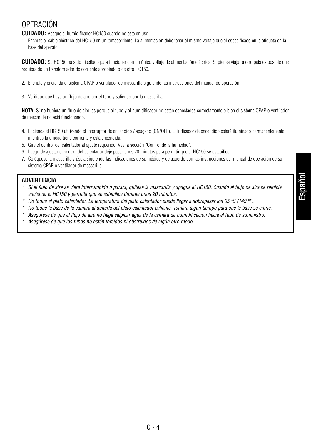# OPERACIÓN

**CUIDADO:** Apague el humidificador HC150 cuando no esté en uso.

1. Enchufe el cable eléctrico del HC150 en un tomacorriente. La alimentación debe tener el mismo voltaje que el especificado en la etiqueta en la base del aparato.

**CUIDADO:** Su HC150 ha sido diseñado para funcionar con un único voltaje de alimentación eléctrica. Si piensa viajar a otro país es posible que requiera de un transformador de corriente apropiado o de otro HC150.

- 2. Enchufe y encienda el sistema CPAP o ventilador de mascarilla siguiendo las instrucciones del manual de operación.
- 3. Verifique que haya un flujo de aire por el tubo y saliendo por la mascarilla.

**NOTA:** Si no hubiera un flujo de aire, es porque el tubo y el humidificador no están conectados correctamente o bien el sistema CPAP o ventilador de mascarilla no está funcionando.

- 4. Encienda el HC150 utilizando el interruptor de encendido / apagado (ON/OFF). El indicador de encendido estará iluminado permanentemente mientras la unidad tiene corriente y está encendida.
- 5. Gire el control del calentador al ajuste requerido. Vea la sección "Control de la humedad".
- 6. Luego de ajustar el control del calentador deje pasar unos 20 minutos para permitir que el HC150 se estabilice.
- 7. Colóquese la mascarilla y úsela siguiendo las indicaciones de su médico y de acuerdo con las instrucciones del manual de operación de su sistema CPAP o ventilador de mascarilla.

### **ADVERTENCIA**

- *\* Si el flujo de aire se viera interrumpido o parara, quítese la mascarilla y apague el HC150. Cuando el flujo de aire se reinicie, encienda el HC150 y permita que se estabilice durante unos 20 minutos.*
- *\* No toque el plato calentador. La temperatura del plato calentador puede llegar a sobrepasar los 65 ºC (149 ºF).*
- *\* No toque la base de la cámara al quitarla del plato calentador caliente. Tomará algún tiempo para que la base se enfríe.*
- *\* Asegúrese de que el flujo de aire no haga salpicar agua de la cámara de humidificación hacia el tubo de suministro.*
- *\* Asegúrese de que los tubos no estén torcidos ni obstruidos de algún otro modo.*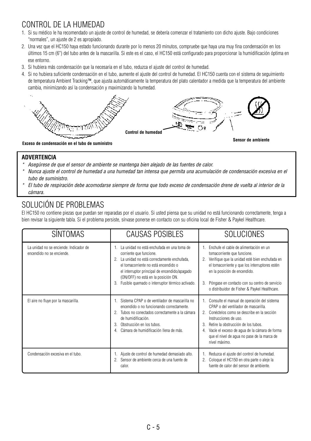# CONTROL DE LA HUMEDAD

- 1. Si su médico le ha recomendado un ajuste de control de humedad, se debería comenzar el tratamiento con dicho ajuste. Bajo condiciones "normales", un ajuste de 2 es apropiado.
- 2. Una vez que el HC150 haya estado funcionando durante por lo menos 20 minutos, compruebe que haya una muy fina condensación en los últimos 15 cm (6") del tubo antes de la mascarilla. Si este es el caso, el HC150 está configurado para proporcionar la humidificación óptima en ese entorno.
- 3. Si hubiera más condensación que la necesaria en el tubo, reduzca el ajuste del control de humedad.
- 4. Si no hubiera suficiente condensación en el tubo, aumente el ajuste del control de humedad. El HC150 cuenta con el sistema de seguimiento de temperatura Ambient Tracking™, que ajusta automáticamente la temperatura del plato calentador a medida que la temperatura del ambiente cambia, minimizando así la condensación y maximizando la humedad.



### **ADVERTENCIA**

- *\* Asegúrese de que el sensor de ambiente se mantenga bien alejado de las fuentes de calor.*
- *\* Nunca ajuste el control de humedad a una humedad tan intensa que permita una acumulación de condensación excesiva en el tubo de suministro.*
- *\* El tubo de respiración debe acomodarse siempre de forma que todo exceso de condensación drene de vuelta al interior de la cámara.*

# SOLUCIÓN DE PROBLEMAS

El HC150 no contiene piezas que puedan ser reparadas por el usuario. Si usted piensa que su unidad no está funcionando correctamente, tenga a bien revisar la siguiente tabla. Si el problema persiste, sírvase ponerse en contacto con su oficina local de Fisher & Paykel Healthcare.

| SÍNTOMAS                                                            | CAUSAS POSIBLES                                                                                                                                                                                                                                                                                                          | <b>SOLUCIONES</b>                                                                                                                                                                                                                                                                                                                                                          |
|---------------------------------------------------------------------|--------------------------------------------------------------------------------------------------------------------------------------------------------------------------------------------------------------------------------------------------------------------------------------------------------------------------|----------------------------------------------------------------------------------------------------------------------------------------------------------------------------------------------------------------------------------------------------------------------------------------------------------------------------------------------------------------------------|
| La unidad no se enciende: Indicador de<br>encendido no se enciende. | La unidad no está enchufada en una toma de<br>1.<br>corriente que funcione.<br>La unidad no está correctamente enchufada.<br>2.<br>el tomacorriente no está encendido o<br>el interruptor principal de encendido/apagado<br>(ON/OFF) no está en la posición ON.<br>Fusible quemado o interruptor térmico activado.<br>3. | Fochufe el cable de alimentación en un<br>1.<br>tomacorriente que funcione.<br>Verifique que la unidad esté bien enchufada en<br>2.<br>el tomacorriente y que los interruptores estén<br>en la posición de encendido.<br>Póngase en contacto con su centro de servicio<br>3.<br>o distribuidor de Fisher & Paykel Healthcare.                                              |
| El aire no fluye por la mascarilla.                                 | Sistema CPAP o de ventilador de mascarilla no<br>encendido o no funcionando correctamente.<br>Tubos no conectados correctamente a la cámara<br>de humidificación.<br>Obstrucción en los tubos.<br>3.<br>Cámara de humidificación llena de más.<br>4                                                                      | Consulte el manual de operación del sistema<br>$\mathbf{1}$<br>CPAP o del ventilador de mascarilla.<br>Conéctelos como se describe en la sección<br>$\mathfrak{D}$<br>Instrucciones de uso.<br>Retire la obstrucción de los tubos.<br>$\mathcal{S}$<br>Vacíe el exceso de agua de la cámara de forma<br>4.<br>que el nivel de aqua no pase de la marca de<br>nivel máximo. |
| Condensación excesiva en el tubo.                                   | Ajuste de control de humedad demasiado alto.<br>2. Sensor de ambiente cerca de una fuente de<br>calor.                                                                                                                                                                                                                   | Reduzca el ajuste del control de humedad.<br>1.<br>Coloque el HC150 en otra parte o aleje la<br>fuente de calor del sensor de ambiente.                                                                                                                                                                                                                                    |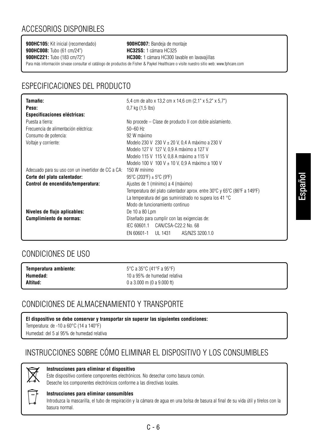# ACCESORIOS DISPONIBLES

**900HC105:** Kit inicial (recomendado) **900HC007:** Bandeja de montaje **900HC008:** Tubo (61 cm/24") **HC325S:** 1 cámara HC325

**900HC221:** Tubo (183 cm/72") **HC300:** 1 cámara HC300 lavable en lavavajillas Para más información sírvase consultar el catálogo de productos de Fisher & Paykel Healthcare o visite nuestro sitio web: www.fphcare.com

# ESPECIFICACIONES DEL PRODUCTO

| Tamaño:                                            | 5,4 cm de alto x 13,2 cm x 14,6 cm (2,1" x 5,2" x 5,7")                  |
|----------------------------------------------------|--------------------------------------------------------------------------|
| Peso:                                              | $0.7$ kg $(1.5$ lbs)                                                     |
| <b>Especificaciones eléctricas:</b>                |                                                                          |
| Puesta a tierra:                                   | No procede – Clase de producto II con doble aislamiento.                 |
| Frecuencia de alimentación eléctrica:              | $50 - 60$ Hz                                                             |
| Consumo de potencia:                               | 92 W máximo                                                              |
| Voltaje y corriente:                               | Modelo 230 V 230 V ± 20 V, 0,4 A máximo a 230 V                          |
|                                                    | Modelo 127 V 127 V, 0,9 A máximo a 127 V                                 |
|                                                    | Modelo 115 V 115 V. 0.8 A máximo a 115 V                                 |
|                                                    | Modelo 100 V 100 V ± 10 V, 0,9 A máximo a 100 V                          |
| Adecuado para su uso con un invertidor de CC a CA: | 150 W mínimo                                                             |
| Corte del plato calentador:                        | 95°C (203°F) $\pm$ 5°C (9°F)                                             |
| Control de encendido/temperatura:                  | Ajustes de 1 (mínimo) a 4 (máximo)                                       |
|                                                    | Temperatura del plato calentador aprox. entre 30°C y 65°C (86°F a 149°F) |
|                                                    | La temperatura del gas suministrado no supera los 41 °C                  |
|                                                    | Modo de funcionamiento continuo                                          |
| Niveles de flujo aplicables:                       | De 10 a 80 Lpm                                                           |
| Cumplimiento de normas:                            | Diseñado para cumplir con las exigencias de:                             |
|                                                    | IEC 60601.1 CAN/CSA-C22.2 No. 68                                         |
|                                                    | AS/NZS 3200.1.0<br>EN 60601-1 UL 1431                                    |

# CONDICIONES DE USO

| Temperatura ambiente: | 5°C a 35°C (41°F a 95°F)     |
|-----------------------|------------------------------|
| Humedad:              | 10 a 95% de humedad relativa |
| Altitud:              | 0 a 3,000 m (0 a 9,000 ft)   |

# CONDICIONES DE ALMACENAMIENTO Y TRANSPORTE

**El dispositivo se debe conservar y transportar sin superar las siguientes condiciones:** 

Temperatura: de -10 a 60°C (14 a 140°F)

Humedad: del 5 al 95% de humedad relativa

# INSTRUCCIONES SOBRE CÓMO ELIMINAR EL DISPOSITIVO Y LOS CONSUMIBLES



### **Instrucciones para eliminar el dispositivo**

Este dispositivo contiene componentes electrónicos. No desechar como basura común. Deseche los componentes electrónicos conforme a las directivas locales.



### **Instrucciones para eliminar consumibles**

Introduzca la mascarilla, el tubo de respiración y la cámara de agua en una bolsa de basura al final de su vida útil y tírelos con la basura normal.